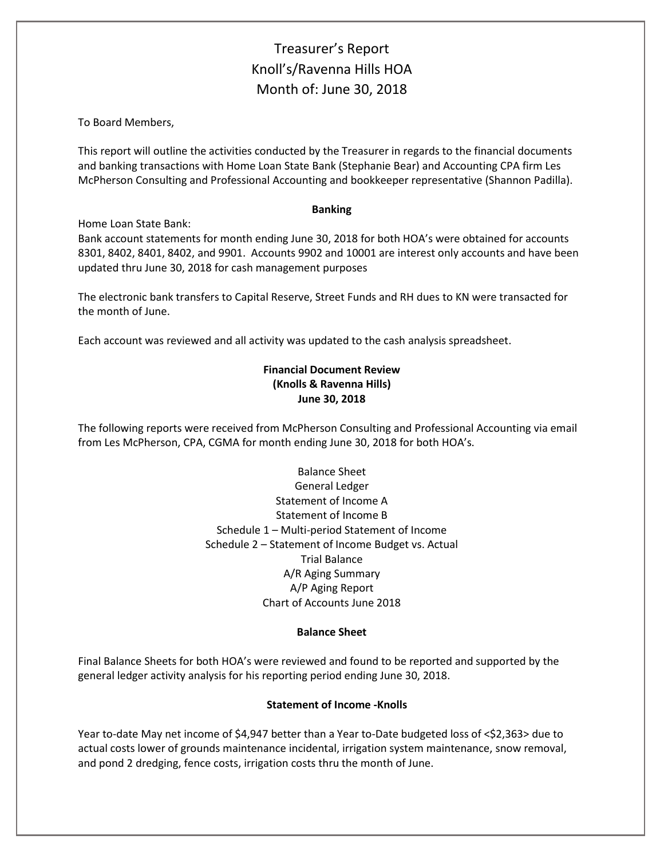# Treasurer's Report Knoll's/Ravenna Hills HOA Month of: June 30, 2018

To Board Members,

This report will outline the activities conducted by the Treasurer in regards to the financial documents and banking transactions with Home Loan State Bank (Stephanie Bear) and Accounting CPA firm Les McPherson Consulting and Professional Accounting and bookkeeper representative (Shannon Padilla).

#### **Banking**

Home Loan State Bank:

Bank account statements for month ending June 30, 2018 for both HOA's were obtained for accounts 8301, 8402, 8401, 8402, and 9901. Accounts 9902 and 10001 are interest only accounts and have been updated thru June 30, 2018 for cash management purposes

The electronic bank transfers to Capital Reserve, Street Funds and RH dues to KN were transacted for the month of June.

Each account was reviewed and all activity was updated to the cash analysis spreadsheet.

## **Financial Document Review (Knolls & Ravenna Hills) June 30, 2018**

The following reports were received from McPherson Consulting and Professional Accounting via email from Les McPherson, CPA, CGMA for month ending June 30, 2018 for both HOA's.

> Balance Sheet General Ledger Statement of Income A Statement of Income B Schedule 1 – Multi-period Statement of Income Schedule 2 – Statement of Income Budget vs. Actual Trial Balance A/R Aging Summary A/P Aging Report Chart of Accounts June 2018

### **Balance Sheet**

Final Balance Sheets for both HOA's were reviewed and found to be reported and supported by the general ledger activity analysis for his reporting period ending June 30, 2018.

### **Statement of Income -Knolls**

Year to-date May net income of \$4,947 better than a Year to-Date budgeted loss of <\$2,363> due to actual costs lower of grounds maintenance incidental, irrigation system maintenance, snow removal, and pond 2 dredging, fence costs, irrigation costs thru the month of June.